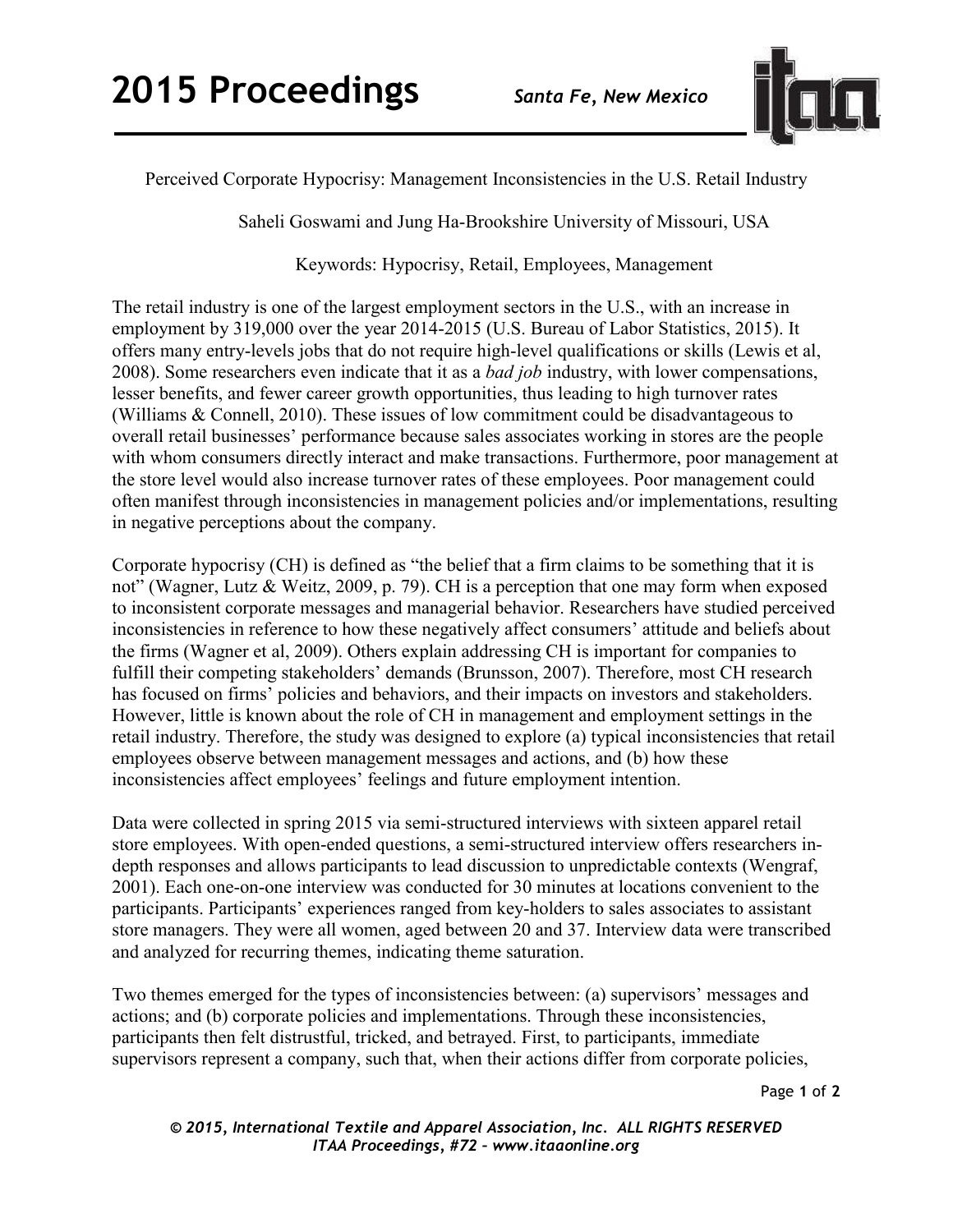

Perceived Corporate Hypocrisy: Management Inconsistencies in the U.S. Retail Industry

Saheli Goswami and Jung Ha-Brookshire University of Missouri, USA

Keywords: Hypocrisy, Retail, Employees, Management

The retail industry is one of the largest employment sectors in the U.S., with an increase in employment by 319,000 over the year 2014-2015 (U.S. Bureau of Labor Statistics, 2015). It offers many entry-levels jobs that do not require high-level qualifications or skills (Lewis et al, 2008). Some researchers even indicate that it as a *bad job* industry, with lower compensations, lesser benefits, and fewer career growth opportunities, thus leading to high turnover rates (Williams & Connell, 2010). These issues of low commitment could be disadvantageous to overall retail businesses' performance because sales associates working in stores are the people with whom consumers directly interact and make transactions. Furthermore, poor management at the store level would also increase turnover rates of these employees. Poor management could often manifest through inconsistencies in management policies and/or implementations, resulting in negative perceptions about the company.

Corporate hypocrisy (CH) is defined as "the belief that a firm claims to be something that it is not" (Wagner, Lutz & Weitz, 2009, p. 79). CH is a perception that one may form when exposed to inconsistent corporate messages and managerial behavior. Researchers have studied perceived inconsistencies in reference to how these negatively affect consumers' attitude and beliefs about the firms (Wagner et al, 2009). Others explain addressing CH is important for companies to fulfill their competing stakeholders' demands (Brunsson, 2007). Therefore, most CH research has focused on firms' policies and behaviors, and their impacts on investors and stakeholders. However, little is known about the role of CH in management and employment settings in the retail industry. Therefore, the study was designed to explore (a) typical inconsistencies that retail employees observe between management messages and actions, and (b) how these inconsistencies affect employees' feelings and future employment intention.

Data were collected in spring 2015 via semi-structured interviews with sixteen apparel retail store employees. With open-ended questions, a semi-structured interview offers researchers indepth responses and allows participants to lead discussion to unpredictable contexts (Wengraf, 2001). Each one-on-one interview was conducted for 30 minutes at locations convenient to the participants. Participants' experiences ranged from key-holders to sales associates to assistant store managers. They were all women, aged between 20 and 37. Interview data were transcribed and analyzed for recurring themes, indicating theme saturation.

Two themes emerged for the types of inconsistencies between: (a) supervisors' messages and actions; and (b) corporate policies and implementations. Through these inconsistencies, participants then felt distrustful, tricked, and betrayed. First, to participants, immediate supervisors represent a company, such that, when their actions differ from corporate policies,

Page **1** of **2** 

*© 2015, International Textile and Apparel Association, Inc. ALL RIGHTS RESERVED ITAA Proceedings, #72 – www.itaaonline.org*